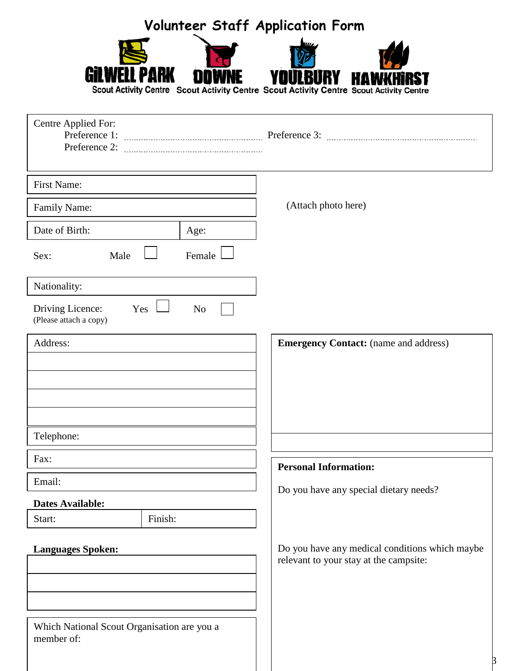|                                                           | Volunteer Staff Application Form |                                                                                          |  |
|-----------------------------------------------------------|----------------------------------|------------------------------------------------------------------------------------------|--|
|                                                           |                                  |                                                                                          |  |
|                                                           |                                  | Scout Activity Centre Scout Activity Centre Scout Activity Centre Scout Activity Centre  |  |
| Centre Applied For:                                       |                                  |                                                                                          |  |
|                                                           |                                  |                                                                                          |  |
| First Name:                                               |                                  |                                                                                          |  |
|                                                           |                                  | (Attach photo here)                                                                      |  |
| Family Name:<br>Date of Birth:                            |                                  |                                                                                          |  |
|                                                           | Age:                             |                                                                                          |  |
| Male<br>Sex:                                              | Female                           |                                                                                          |  |
| Nationality:                                              |                                  |                                                                                          |  |
| Driving Licence:<br>Yes<br>(Please attach a copy)         | N <sub>o</sub>                   |                                                                                          |  |
| Address:                                                  |                                  | <b>Emergency Contact:</b> (name and address)                                             |  |
|                                                           |                                  |                                                                                          |  |
|                                                           |                                  |                                                                                          |  |
|                                                           |                                  |                                                                                          |  |
| Telephone:                                                |                                  |                                                                                          |  |
| Fax:                                                      |                                  | <b>Personal Information:</b>                                                             |  |
| Email:                                                    |                                  |                                                                                          |  |
| <b>Dates Available:</b>                                   |                                  | Do you have any special dietary needs?                                                   |  |
| Finish:<br>Start:                                         |                                  |                                                                                          |  |
| <b>Languages Spoken:</b>                                  |                                  | Do you have any medical conditions which maybe<br>relevant to your stay at the campsite: |  |
|                                                           |                                  |                                                                                          |  |
|                                                           |                                  |                                                                                          |  |
| Which National Scout Organisation are you a<br>member of: |                                  |                                                                                          |  |
|                                                           |                                  |                                                                                          |  |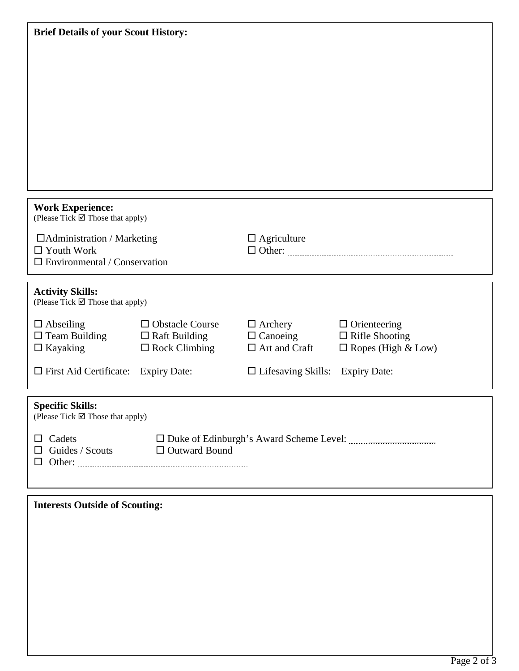| <b>Brief Details of your Scout History:</b>                 |                                                                 |                                        |                           |  |  |
|-------------------------------------------------------------|-----------------------------------------------------------------|----------------------------------------|---------------------------|--|--|
|                                                             |                                                                 |                                        |                           |  |  |
|                                                             |                                                                 |                                        |                           |  |  |
|                                                             |                                                                 |                                        |                           |  |  |
|                                                             |                                                                 |                                        |                           |  |  |
|                                                             |                                                                 |                                        |                           |  |  |
|                                                             |                                                                 |                                        |                           |  |  |
|                                                             |                                                                 |                                        |                           |  |  |
|                                                             |                                                                 |                                        |                           |  |  |
|                                                             |                                                                 |                                        |                           |  |  |
|                                                             |                                                                 |                                        |                           |  |  |
| <b>Work Experience:</b><br>(Please Tick ⊠ Those that apply) |                                                                 |                                        |                           |  |  |
| $\Box$ Administration / Marketing                           |                                                                 | $\Box$ Agriculture                     |                           |  |  |
| $\Box$ Youth Work                                           |                                                                 |                                        |                           |  |  |
| $\Box$ Environmental / Conservation                         |                                                                 |                                        |                           |  |  |
| <b>Activity Skills:</b>                                     |                                                                 |                                        |                           |  |  |
| (Please Tick ⊠ Those that apply)                            |                                                                 |                                        |                           |  |  |
| $\Box$ Abseiling                                            | $\Box$ Obstacle Course                                          | $\Box$ Archery                         | $\Box$ Orienteering       |  |  |
| $\square$ Team Building                                     | $\Box$ Raft Building                                            | $\Box$ Canoeing                        | $\Box$ Rifle Shooting     |  |  |
| $\Box$ Kayaking                                             | $\square$ Rock Climbing                                         | $\Box$ Art and Craft                   | $\Box$ Ropes (High & Low) |  |  |
| $\Box$ First Aid Certificate:                               | <b>Expiry Date:</b>                                             | $\Box$ Lifesaving Skills: Expiry Date: |                           |  |  |
|                                                             |                                                                 |                                        |                           |  |  |
| <b>Specific Skills:</b><br>(Please Tick ⊠ Those that apply) |                                                                 |                                        |                           |  |  |
|                                                             |                                                                 |                                        |                           |  |  |
|                                                             | $\Box$ Cadets<br>$\Box$ Guides / Scouts<br>$\Box$ Outward Bound |                                        |                           |  |  |
|                                                             |                                                                 |                                        |                           |  |  |
|                                                             |                                                                 |                                        |                           |  |  |
|                                                             |                                                                 |                                        |                           |  |  |
| <b>Interests Outside of Scouting:</b>                       |                                                                 |                                        |                           |  |  |
|                                                             |                                                                 |                                        |                           |  |  |
|                                                             |                                                                 |                                        |                           |  |  |
|                                                             |                                                                 |                                        |                           |  |  |
|                                                             |                                                                 |                                        |                           |  |  |
|                                                             |                                                                 |                                        |                           |  |  |
|                                                             |                                                                 |                                        |                           |  |  |
|                                                             |                                                                 |                                        |                           |  |  |
|                                                             |                                                                 |                                        |                           |  |  |